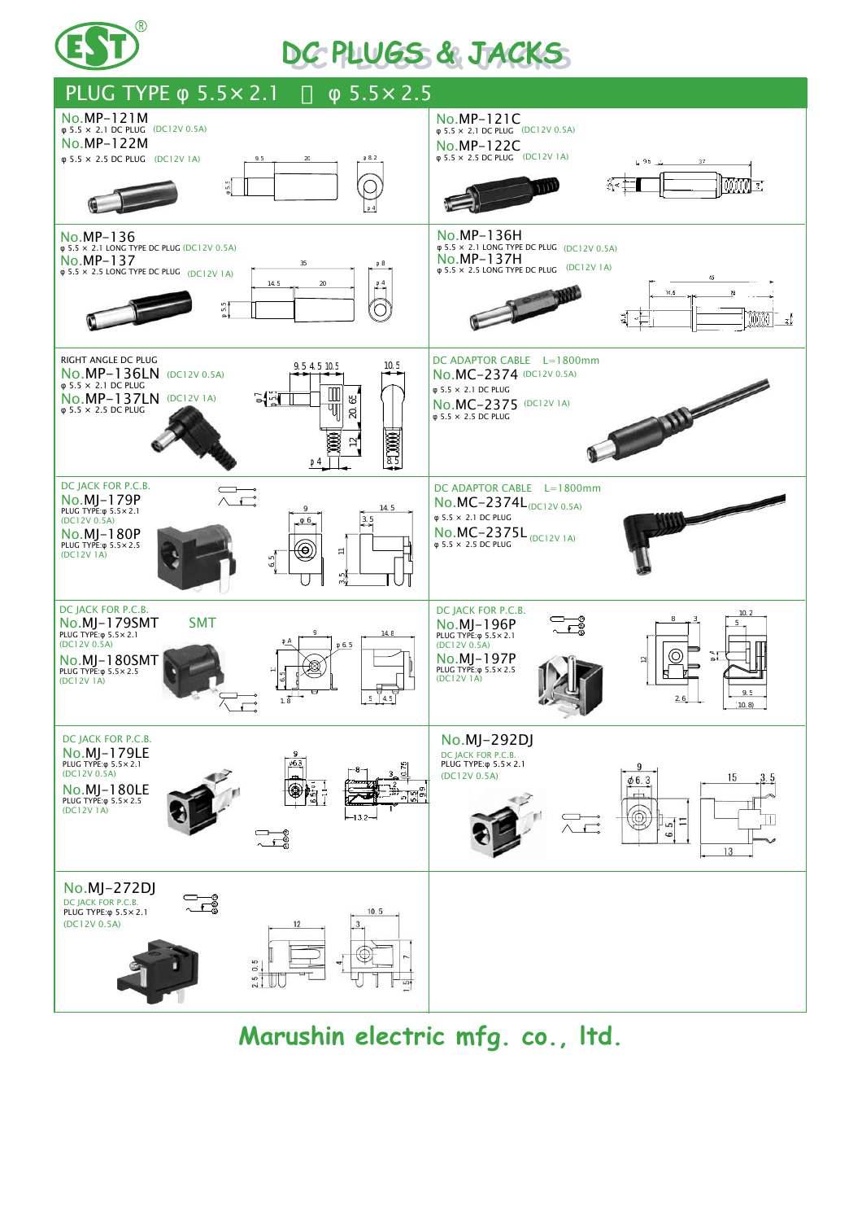

## **DC PLUGS & JACKS DC PLUGS & JACKS**



**Marushin electric mfg. co., ltd.**